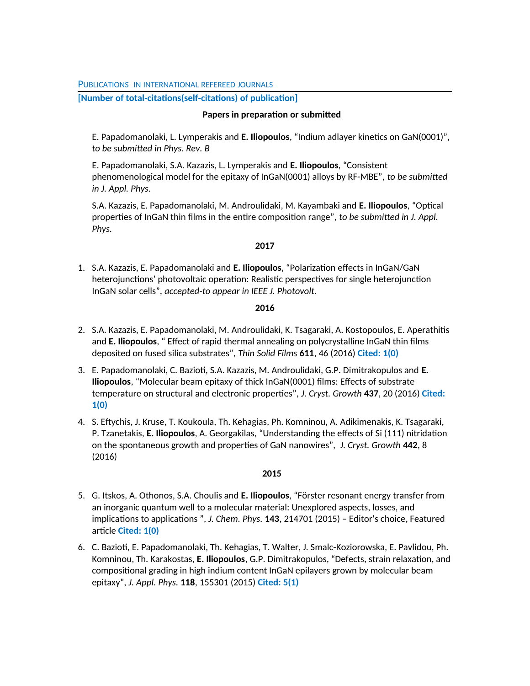PUBLICATIONS IN INTERNATIONAL REFEREED JOURNALS

**[Number of total-citations(self-citations) of publication]**

# **Papers in preparation or submitted**

E. Papadomanolaki, L. Lymperakis and **E. Iliopoulos**, "Indium adlayer kinetics on GaN(0001)", *to be submitted in Phys. Rev. B*

E. Papadomanolaki, S.A. Kazazis, L. Lymperakis and **E. Iliopoulos**, "Consistent phenomenological model for the epitaxy of InGaN(0001) alloys by RF-MBE", *to be submitted in J. Appl. Phys.*

S.A. Kazazis, E. Papadomanolaki, M. Androulidaki, M. Kayambaki and **E. Iliopoulos**, "Optical properties of InGaN thin films in the entire composition range", *to be submitted in J. Appl. Phys.*

# **2017**

1. S.A. Kazazis, E. Papadomanolaki and **E. Iliopoulos**, "Polarization effects in InGaN/GaN heterojunctions' photovoltaic operation: Realistic perspectives for single heterojunction InGaN solar cells", *accepted-to appear in IEEE J. Photovolt.*

# **2016**

- 2. S.A. Kazazis, E. Papadomanolaki, M. Androulidaki, K. Tsagaraki, A. Kostopoulos, E. Aperathitis and **E. Iliopoulos**, " Effect of rapid thermal annealing on polycrystalline InGaN thin films deposited on fused silica substrates", *Thin Solid Films* **611**, 46 (2016) **Cited: 1(0)**
- 3. E. Papadomanolaki, C. Bazioti, S.A. Kazazis, M. Androulidaki, G.P. Dimitrakopulos and **E. Iliopoulos**, "Molecular beam epitaxy of thick InGaN(0001) films: Effects of substrate temperature on structural and electronic properties", *J. Cryst. Growth* **437**, 20 (2016) **Cited: 1(0)**
- 4. S. Eftychis, J. Kruse, T. Koukoula, Th. Kehagias, Ph. Komninou, A. Adikimenakis, K. Tsagaraki, P. Tzanetakis, **E. Iliopoulos**, A. Georgakilas, "Understanding the effects of Si (111) nitridation on the spontaneous growth and properties of GaN nanowires", *J. Cryst. Growth* **442**, 8 (2016)

- 5. G. Itskos, A. Othonos, S.A. Choulis and **E. Iliopoulos**, "Förster resonant energy transfer from an inorganic quantum well to a molecular material: Unexplored aspects, losses, and implications to applications ", *J. Chem. Phys.* **143**, 214701 (2015) – Editor's choice, Featured article **Cited: 1(0)**
- 6. C. Bazioti, E. Papadomanolaki, Th. Kehagias, T. Walter, J. Smalc-Koziorowska, E. Pavlidou, Ph. Komninou, Th. Karakostas, **E. Iliopoulos**, G.P. Dimitrakopulos, "Defects, strain relaxation, and compositional grading in high indium content InGaN epilayers grown by molecular beam epitaxy", *J. Appl. Phys.* **118**, 155301 (2015) **Cited: 5(1)**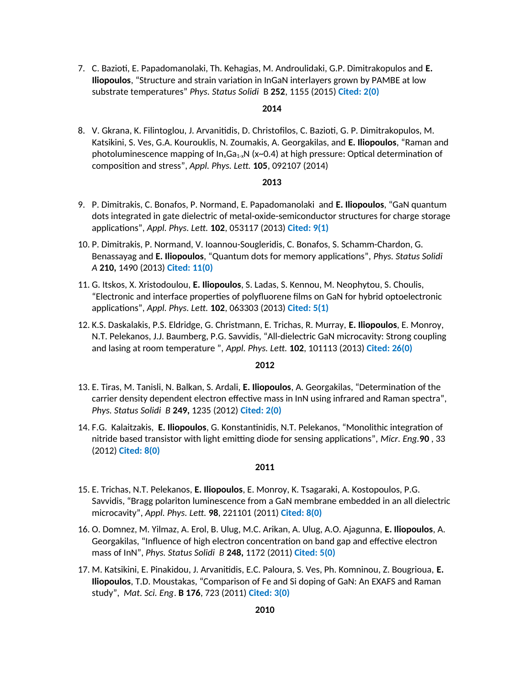7. C. Bazioti, E. Papadomanolaki, Th. Kehagias, M. Androulidaki, G.P. Dimitrakopulos and **E. Iliopoulos**, "Structure and strain variation in InGaN interlayers grown by PAMBE at low substrate temperatures" *Phys. Status Solidi* B **252**, 1155 (2015) **Cited: 2(0)**

# **2014**

8. V. Gkrana, K. Filintoglou, J. Arvanitidis, D. Christofilos, C. Bazioti, G. P. Dimitrakopulos, M. Katsikini, S. Ves, G.A. Kourouklis, N. Zoumakis, A. Georgakilas, and **E. Iliopoulos**, "Raman and photoluminescence mapping of  $In_xGa_{1-x}N$  (x~0.4) at high pressure: Optical determination of composition and stress", *Appl. Phys. Lett.* **105**, 092107 (2014)

#### **2013**

- 9. P. Dimitrakis, C. Bonafos, P. Normand, E. Papadomanolaki and **E. Iliopoulos**, "GaN quantum dots integrated in gate dielectric of metal-oxide-semiconductor structures for charge storage applications", *Appl. Phys. Lett.* **102**, 053117 (2013) **Cited: 9(1)**
- 10. P. Dimitrakis, P. Normand, V. Ioannou-Sougleridis, C. Bonafos, S. Schamm-Chardon, G. Benassayag and **E. Iliopoulos**, "Quantum dots for memory applications", *Phys. Status Solidi A* **210,** 1490 (2013) **Cited: 11(0)**
- 11. G. Itskos, X. Xristodoulou, **E. Iliopoulos**, S. Ladas, S. Kennou, M. Neophytou, S. Choulis, "Electronic and interface properties of polyfluorene films on GaN for hybrid optoelectronic applications", *Appl. Phys. Lett.* **102**, 063303 (2013) **Cited: 5(1)**
- 12. K.S. Daskalakis, P.S. Eldridge, G. Christmann, E. Trichas, R. Murray, **E. Iliopoulos**, E. Monroy, N.T. Pelekanos, J.J. Baumberg, P.G. Savvidis, "All-dielectric GaN microcavity: Strong coupling and lasing at room temperature ", *Appl. Phys. Lett.* **102**, 101113 (2013) **Cited: 26(0)**

#### **2012**

- 13. E. Tiras, M. Tanisli, N. Balkan, S. Ardali, **E. Iliopoulos**, A. Georgakilas, "Determination of the carrier density dependent electron effective mass in InN using infrared and Raman spectra", *Phys. Status Solidi B* **249,** 1235 (2012) **Cited: 2(0)**
- 14. F.G. Kalaitzakis, **E. Iliopoulos**, G. Konstantinidis, N.T. Pelekanos, "Monolithic integration of nitride based transistor with light emitting diode for sensing applications", *Micr. Eng.***90** , 33 (2012) **Cited: 8(0)**

- 15. E. Trichas, N.T. Pelekanos, **E. Iliopoulos**, E. Monroy, K. Tsagaraki, A. Kostopoulos, P.G. Savvidis, "Bragg polariton luminescence from a GaN membrane embedded in an all dielectric microcavity", *Appl. Phys. Lett.* **98**, 221101 (2011) **Cited: 8(0)**
- 16. O. Domnez, M. Yilmaz, A. Erol, B. Ulug, M.C. Arikan, A. Ulug, A.O. Ajagunna, **E. Iliopoulos**, A. Georgakilas, "Influence of high electron concentration on band gap and effective electron mass of InN", *Phys. Status Solidi B* **248,** 1172 (2011) **Cited: 5(0)**
- 17. M. Katsikini, E. Pinakidou, J. Arvanitidis, E.C. Paloura, S. Ves, Ph. Komninou, Z. Bougrioua, **E. Iliopoulos**, T.D. Moustakas, "Comparison of Fe and Si doping of GaN: An EXAFS and Raman study", *Mat. Sci. Eng*. **B 176**, 723 (2011) **Cited: 3(0)**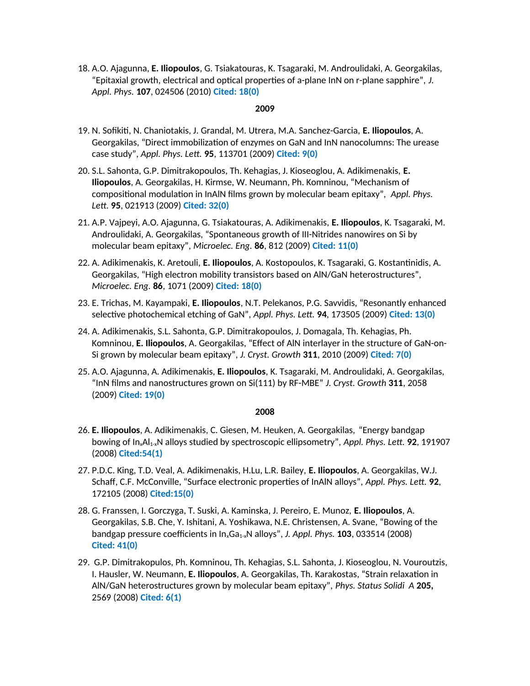18. A.O. Ajagunna, **E. Iliopoulos**, G. Tsiakatouras, K. Tsagaraki, M. Androulidaki, A. Georgakilas, "Epitaxial growth, electrical and optical properties of a-plane InN on r-plane sapphire", *J. Appl. Phys.* **107**, 024506 (2010) **Cited: 18(0)**

# **2009**

- 19. N. Sofikiti, N. Chaniotakis, J. Grandal, M. Utrera, M.A. Sanchez-Garcia, **E. Iliopoulos**, A. Georgakilas, "Direct immobilization of enzymes on GaN and InN nanocolumns: The urease case study", *Appl. Phys. Lett.* **95**, 113701 (2009) **Cited: 9(0)**
- 20. S.L. Sahonta, G.P. Dimitrakopoulos, Th. Kehagias, J. Kioseoglou, A. Adikimenakis, **E. Iliopoulos**, A. Georgakilas, H. Kirmse, W. Neumann, Ph. Komninou, "Mechanism of compositional modulation in InAlN films grown by molecular beam epitaxy", *Appl. Phys. Lett.* **95**, 021913 (2009) **Cited: 32(0)**
- 21. A.P. Vajpeyi, A.O. Ajagunna, G. Tsiakatouras, A. Adikimenakis, **E. Iliopoulos**, K. Tsagaraki, M. Androulidaki, A. Georgakilas, "Spontaneous growth of III-Nitrides nanowires on Si by molecular beam epitaxy", *Microelec. Eng.* **86**, 812 (2009) **Cited: 11(0)**
- 22. A. Adikimenakis, K. Aretouli, **E. Iliopoulos**, A. Kostopoulos, K. Tsagaraki, G. Kostantinidis, A. Georgakilas, "High electron mobility transistors based on AlN/GaN heterostructures", *Microelec. Eng.* **86**, 1071 (2009) **Cited: 18(0)**
- 23. E. Trichas, M. Kayampaki, **E. Iliopoulos**, N.T. Pelekanos, P.G. Savvidis, "Resonantly enhanced selective photochemical etching of GaN", *Appl. Phys. Lett.* **94**, 173505 (2009) **Cited: 13(0)**
- 24. A. Adikimenakis, S.L. Sahonta, G.P. Dimitrakopoulos, J. Domagala, Th. Kehagias, Ph. Komninou, **E. Iliopoulos**, A. Georgakilas, "Effect of AlN interlayer in the structure of GaN-on-Si grown by molecular beam epitaxy", *J. Cryst. Growth* **311**, 2010 (2009) **Cited: 7(0)**
- 25. A.O. Ajagunna, A. Adikimenakis, **E. Iliopoulos**, K. Tsagaraki, M. Androulidaki, A. Georgakilas, "InN films and nanostructures grown on Si(111) by RF-MBE" *J. Cryst. Growth* **311**, 2058 (2009) **Cited: 19(0)**

- 26. **E. Iliopoulos**, A. Adikimenakis, C. Giesen, M. Heuken, A. Georgakilas, "Energy bandgap bowing of In<sub>x</sub>Al<sub>1-x</sub>N alloys studied by spectroscopic ellipsometry", *Appl. Phys. Lett.* **92**, 191907 (2008) **Cited:54(1)**
- 27. P.D.C. King, T.D. Veal, A. Adikimenakis, H.Lu, L.R. Bailey, **E. Iliopoulos**, A. Georgakilas, W.J. Schaff, C.F. McConville, "Surface electronic properties of InAlN alloys", *Appl. Phys. Lett.* **92**, 172105 (2008) **Cited:15(0)**
- 28. G. Franssen, I. Gorczyga, T. Suski, A. Kaminska, J. Pereiro, E. Munoz, **E. Iliopoulos**, A. Georgakilas, S.B. Che, Y. Ishitani, A. Yoshikawa, N.E. Christensen, A. Svane, "Bowing of the bandgap pressure coefficients in InxGa1-xN alloys", *J. Appl. Phys.* **103**, 033514 (2008) **Cited: 41(0)**
- 29. G.P. Dimitrakopulos, Ph. Komninou, Th. Kehagias, S.L. Sahonta, J. Kioseoglou, N. Vouroutzis, I. Hausler, W. Neumann, **E. Iliopoulos**, A. Georgakilas, Th. Karakostas, "Strain relaxation in AlN/GaN heterostructures grown by molecular beam epitaxy", *Phys. Status Solidi A* **205,** 2569 (2008) **Cited: 6(1)**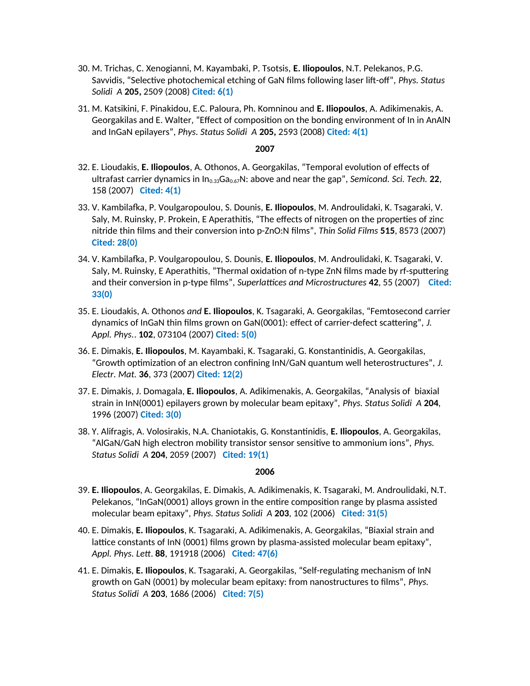- 30. M. Trichas, C. Xenogianni, M. Kayambaki, P. Tsotsis, **E. Iliopoulos**, N.T. Pelekanos, P.G. Savvidis, "Selective photochemical etching of GaN films following laser lift-off", *Phys. Status Solidi A* **205,** 2509 (2008) **Cited: 6(1)**
- 31. M. Katsikini, F. Pinakidou, E.C. Paloura, Ph. Komninou and **E. Iliopoulos**, A. Adikimenakis, A. Georgakilas and E. Walter, "Effect of composition on the bonding environment of In in AnAlN and InGaN epilayers", *Phys. Status Solidi A* **205,** 2593 (2008) **Cited: 4(1)**

### **2007**

- 32. E. Lioudakis, **E. Iliopoulos**, A. Othonos, A. Georgakilas, "Temporal evolution of effects of ultrafast carrier dynamics in In<sub>0.33</sub>Ga<sub>0.67</sub>N: above and near the gap", *Semicond. Sci. Tech.* **22**, 158 (2007) **Cited: 4(1)**
- 33. V. Kambilafka, P. Voulgaropoulou, S. Dounis, **E. Iliopoulos**, M. Androulidaki, K. Tsagaraki, V. Saly, M. Ruinsky, P. Prokein, E Aperathitis, "The effects of nitrogen on the properties of zinc nitride thin films and their conversion into p-ZnO:N films", *Thin Solid Films* **515**, 8573 (2007) **Cited: 28(0)**
- 34. V. Kambilafka, P. Voulgaropoulou, S. Dounis, **E. Iliopoulos**, M. Androulidaki, K. Tsagaraki, V. Saly, M. Ruinsky, E Aperathitis, "Thermal oxidation of n-type ZnN films made by rf-sputtering and their conversion in p-type films", *Superlattices and Microstructures* **42**, 55 (2007) **Cited: 33(0)**
- 35. E. Lioudakis, A. Othonos *and* **E. Iliopoulos**, K. Tsagaraki, A. Georgakilas, "Femtosecond carrier dynamics of InGaN thin films grown on GaN(0001): effect of carrier-defect scattering", *J. Appl. Phys.*. **102**, 073104 (2007) **Cited: 5(0)**
- 36. E. Dimakis, **E. Iliopoulos**, M. Kayambaki, K. Tsagaraki, G. Konstantinidis, A. Georgakilas, "Growth optimization of an electron confining InN/GaN quantum well heterostructures", *J. Electr. Mat.* **36**, 373 (2007) **Cited: 12(2)**
- 37. E. Dimakis, J. Domagala, **E. Iliopoulos**, A. Adikimenakis, A. Georgakilas, "Analysis of biaxial strain in InN(0001) epilayers grown by molecular beam epitaxy", *Phys. Status Solidi A* **204**, 1996 (2007) **Cited: 3(0)**
- 38. Y. Alifragis, A. Volosirakis, N.A. Chaniotakis, G. Konstantinidis, **E. Iliopoulos**, A. Georgakilas, "AlGaN/GaN high electron mobility transistor sensor sensitive to ammonium ions", *Phys. Status Solidi A* **204**, 2059 (2007) **Cited: 19(1)**

- 39. **E. Iliopoulos**, A. Georgakilas, E. Dimakis, A. Adikimenakis, K. Tsagaraki, M. Androulidaki, N.T. Pelekanos, "InGaN(0001) alloys grown in the entire composition range by plasma assisted molecular beam epitaxy", *Phys. Status Solidi A* **203**, 102 (2006) **Cited: 31(5)**
- 40. E. Dimakis, **E. Iliopoulos**, K. Tsagaraki, A. Adikimenakis, A. Georgakilas, "Biaxial strain and lattice constants of InN (0001) films grown by plasma-assisted molecular beam epitaxy", *Appl. Phys. Lett*. **88**, 191918 (2006) **Cited: 47(6)**
- 41. E. Dimakis, **E. Iliopoulos**, K. Tsagaraki, A. Georgakilas, "Self-regulating mechanism of InN growth on GaN (0001) by molecular beam epitaxy: from nanostructures to films", *Phys. Status Solidi A* **203**, 1686 (2006) **Cited: 7(5)**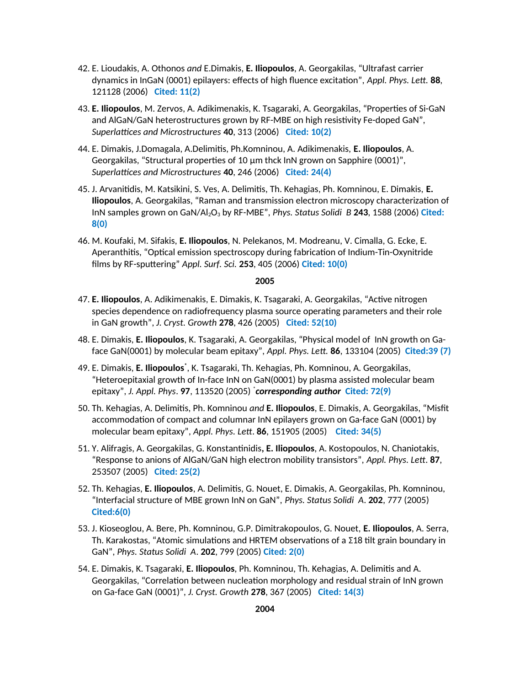- 42. E. Lioudakis, A. Othonos *and* E.Dimakis, **E. Iliopoulos**, A. Georgakilas, "Ultrafast carrier dynamics in InGaN (0001) epilayers: effects of high fluence excitation", *Appl. Phys. Lett.* **88**, 121128 (2006) **Cited: 11(2)**
- 43. **E. Iliopoulos**, M. Zervos, A. Adikimenakis, K. Tsagaraki, A. Georgakilas, "Properties of Si-GaN and AlGaN/GaN heterostructures grown by RF-MBE on high resistivity Fe-doped GaN", *Superlattices and Microstructures* **40**, 313 (2006) **Cited: 10(2)**
- 44. E. Dimakis, J.Domagala, A.Delimitis, Ph.Komninou, A. Adikimenakis, **E. Iliopoulos**, A. Georgakilas, "Structural properties of 10 μm thck InN grown on Sapphire (0001)", *Superlattices and Microstructures* **40**, 246 (2006) **Cited: 24(4)**
- 45. J. Arvanitidis, M. Katsikini, S. Ves, A. Delimitis, Th. Kehagias, Ph. Komninou, E. Dimakis, **E. Iliopoulos**, A. Georgakilas, "Raman and transmission electron microscopy characterization of InN samples grown on GaN/Al<sub>2</sub>O<sub>3</sub> by RF-MBE", *Phys. Status Solidi B* 243, 1588 (2006) Cited: **8(0)**
- 46. M. Koufaki, M. Sifakis, **E. Iliopoulos**, N. Pelekanos, M. Modreanu, V. Cimalla, G. Ecke, E. Aperanthitis, "Optical emission spectroscopy during fabrication of Indium-Tin-Oxynitride films by RF-sputtering" *Appl. Surf. Sci.* **253**, 405 (2006) **Cited: 10(0)**

- 47. **E. Iliopoulos**, A. Adikimenakis, E. Dimakis, K. Tsagaraki, A. Georgakilas, "Active nitrogen species dependence on radiofrequency plasma source operating parameters and their role in GaN growth", *J. Cryst. Growth* **278**, 426 (2005) **Cited: 52(10)**
- 48. E. Dimakis, **E. Iliopoulos**, K. Tsagaraki, A. Georgakilas, "Physical model of InN growth on Gaface GaN(0001) by molecular beam epitaxy", *Appl. Phys. Lett.* **86**, 133104 (2005) **Cited:39 (7)**
- 49. E. Dimakis, **E. Iliopoulos\*** , K. Tsagaraki, Th. Kehagias, Ph. Komninou, A. Georgakilas, "Heteroepitaxial growth of In-face InN on GaN(0001) by plasma assisted molecular beam epitaxy", *J. Appl. Phys*. **97**, 113520 (2005) \* *corresponding author* **Cited: 72(9)**
- 50. Th. Kehagias, A. Delimitis, Ph. Komninou *and* **E. Iliopoulos**, E. Dimakis, A. Georgakilas, "Misfit accommodation of compact and columnar InN epilayers grown on Ga-face GaN (0001) by molecular beam epitaxy", *Appl. Phys. Lett*. **86**, 151905 (2005) **Cited: 34(5)**
- 51. Y. Alifragis, A. Georgakilas, G. Konstantinidis**, E. Iliopoulos**, A. Kostopoulos, N. Chaniotakis, "Response to anions of AlGaN/GaN high electron mobility transistors", *Appl. Phys. Lett*. **87**, 253507 (2005) **Cited: 25(2)**
- 52. Th. Kehagias, **E. Iliopoulos**, A. Delimitis, G. Nouet, E. Dimakis, A. Georgakilas, Ph. Komninou, "Interfacial structure of MBE grown InN on GaN", *Phys. Status Solidi A*. **202**, 777 (2005) **Cited:6(0)**
- 53. J. Kioseoglou, A. Bere, Ph. Komninou, G.P. Dimitrakopoulos, G. Nouet, **E. Iliopoulos**, A. Serra, Th. Karakostas, "Atomic simulations and HRTEM observations of a  $\Sigma$ 18 tilt grain boundary in GaN", *Phys. Status Solidi A*. **202**, 799 (2005) **Cited: 2(0)**
- 54. E. Dimakis, K. Tsagaraki, **E. Iliopoulos**, Ph. Komninou, Th. Kehagias, A. Delimitis and A. Georgakilas, "Correlation between nucleation morphology and residual strain of InN grown on Ga-face GaN (0001)", *J. Cryst. Growth* **278**, 367 (2005) **Cited: 14(3)**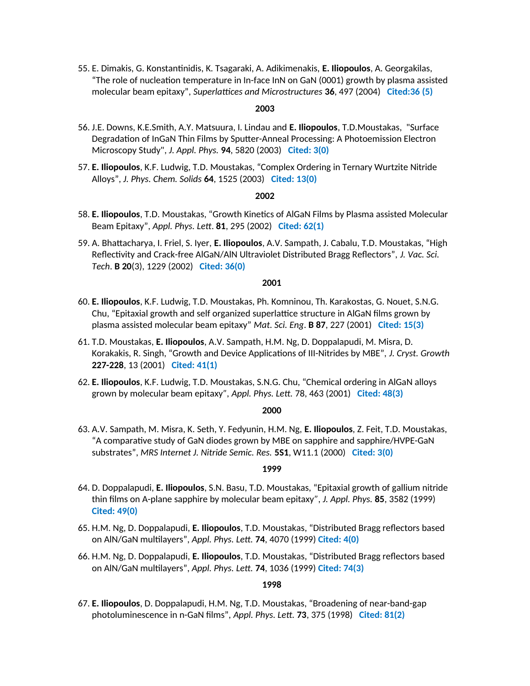55. E. Dimakis, G. Konstantinidis, K. Tsagaraki, A. Adikimenakis, **E. Iliopoulos**, A. Georgakilas, "The role of nucleation temperature in In-face InN on GaN (0001) growth by plasma assisted molecular beam epitaxy", *Superlattices and Microstructures* **36**, 497 (2004) **Cited:36 (5)**

# **2003**

- 56. J.E. Downs, K.E.Smith, A.Y. Matsuura, I. Lindau and **E. Iliopoulos**, T.D.Moustakas, "Surface Degradation of InGaN Thin Films by Sputter-Anneal Processing: A Photoemission Electron Microscopy Study", *J. Appl. Phys.* **94**, 5820 (2003) **Cited: 3(0)**
- 57. **E. Iliopoulos**, K.F. Ludwig, T.D. Moustakas, "Complex Ordering in Ternary Wurtzite Nitride Alloys", *J. Phys. Chem. Solids* **64**, 1525 (2003) **Cited: 13(0)**

#### **2002**

- 58. **E. Iliopoulos**, T.D. Moustakas, "Growth Kinetics of AlGaN Films by Plasma assisted Molecular Beam Epitaxy", *Appl. Phys. Lett*. **81**, 295 (2002) **Cited: 62(1)**
- 59. A. Bhattacharya, I. Friel, S. Iyer, **E. Iliopoulos**, A.V. Sampath, J. Cabalu, T.D. Moustakas, "High Reflectivity and Crack-free AlGaN/AlN Ultraviolet Distributed Bragg Reflectors", *J. Vac. Sci. Tech*. **B 20**(3), 1229 (2002) **Cited: 36(0)**

#### **2001**

- 60. **E. Iliopoulos**, K.F. Ludwig, T.D. Moustakas, Ph. Komninou, Th. Karakostas, G. Nouet, S.N.G. Chu, "Epitaxial growth and self organized superlattice structure in AlGaN films grown by plasma assisted molecular beam epitaxy" *Mat. Sci. Eng*. **B 87**, 227 (2001) **Cited: 15(3)**
- 61. T.D. Moustakas, **E. Iliopoulos**, A.V. Sampath, H.M. Ng, D. Doppalapudi, M. Misra, D. Korakakis, R. Singh, "Growth and Device Applications of III-Nitrides by MBE", *J. Cryst. Growth* **227-228**, 13 (2001) **Cited: 41(1)**
- 62. **E. Iliopoulos**, K.F. Ludwig, T.D. Moustakas, S.N.G. Chu, "Chemical ordering in AlGaN alloys grown by molecular beam epitaxy*", Appl. Phys. Lett.* 78, 463 (2001) **Cited: 48(3)**

#### **2000**

63. A.V. Sampath, M. Misra, K. Seth, Y. Fedyunin, H.M. Ng, **E. Iliopoulos**, Z. Feit, T.D. Moustakas, "A comparative study of GaN diodes grown by MBE on sapphire and sapphire/HVPE-GaN substrates", *MRS Internet J. Nitride Semic. Res.* **5S1**, W11.1 (2000) **Cited: 3(0)**

### **1999**

- 64. D. Doppalapudi, **E. Iliopoulos**, S.N. Basu, T.D. Moustakas, "Epitaxial growth of gallium nitride thin films on A-plane sapphire by molecular beam epitaxy*", J. Appl. Phys.* **85**, 3582 (1999) **Cited: 49(0)**
- 65. H.M. Ng, D. Doppalapudi, **E. Iliopoulos**, T.D. Moustakas, "Distributed Bragg reflectors based on AlN/GaN multilayers", *Appl. Phys. Lett.* **74**, 4070 (1999) **Cited: 4(0)**
- 66. H.M. Ng, D. Doppalapudi, **E. Iliopoulos**, T.D. Moustakas, "Distributed Bragg reflectors based on AlN/GaN multilayers", *Appl. Phys. Lett.* **74**, 1036 (1999) **Cited: 74(3)**

### **1998**

67. **E. Iliopoulos**, D. Doppalapudi, H.M. Ng, T.D. Moustakas, "Broadening of near-band-gap photoluminescence in n-GaN films", *Appl. Phys. Lett.* **73**, 375 (1998) **Cited: 81(2)**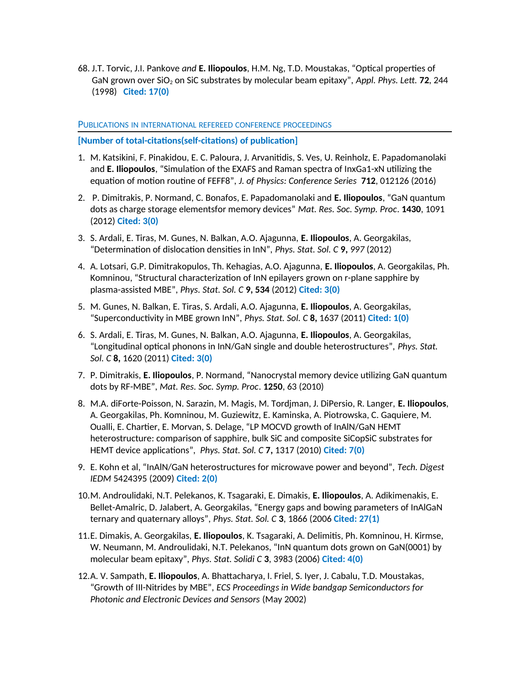68. J.T. Torvic, J.I. Pankove *and* **E. Iliopoulos**, H.M. Ng, T.D. Moustakas, "Optical properties of GaN grown over SiO<sub>2</sub> on SiC substrates by molecular beam epitaxy", *Appl. Phys. Lett.* **72**, 244 (1998) **Cited: 17(0)**

# PUBLICATIONS IN INTERNATIONAL REFEREED CONFERENCE PROCEEDINGS

**[Number of total-citations(self-citations) of publication]**

- 1. M. Katsikini, F. Pinakidou, E. C. Paloura, J. Arvanitidis, S. Ves, U. Reinholz, E. Papadomanolaki and **E. Iliopoulos**, "Simulation of the EXAFS and Raman spectra of InxGa1-xN utilizing the equation of motion routine of FEFF8", *J. of Physics: Conference Series* **712**, 012126 (2016)
- 2. P. Dimitrakis, P. Normand, C. Bonafos, E. Papadomanolaki and **E. Iliopoulos**, "GaN quantum dots as charge storage elementsfor memory devices" *Mat. Res. Soc. Symp. Proc*. **1430**, 1091 (2012) **Cited: 3(0)**
- 3. S. Ardali, E. Tiras, M. Gunes, N. Balkan, A.O. Ajagunna, **E. Iliopoulos**, A. Georgakilas, "Determination of dislocation densities in InN", *Phys. Stat. Sol. C* **9,** *997* (2012)
- 4. A. Lotsari, G.P. Dimitrakopulos, Th. Kehagias, A.O. Ajagunna, **E. Iliopoulos**, A. Georgakilas, Ph. Komninou, "Structural characterization of InN epilayers grown on r-plane sapphire by plasma-assisted MBE", *Phys. Stat. Sol. C* **9, 534** (2012) **Cited: 3(0)**
- 5. M. Gunes, N. Balkan, E. Tiras, S. Ardali, A.O. Ajagunna, **E. Iliopoulos**, A. Georgakilas, "Superconductivity in MBE grown InN", *Phys. Stat. Sol. C* **8,** 1637 (2011) **Cited: 1(0)**
- 6. S. Ardali, E. Tiras, M. Gunes, N. Balkan, A.O. Ajagunna, **E. Iliopoulos**, A. Georgakilas, "Longitudinal optical phonons in InN/GaN single and double heterostructures", *Phys. Stat. Sol. C* **8,** 1620 (2011) **Cited: 3(0)**
- 7. P. Dimitrakis, **E. Iliopoulos**, P. Normand, "Nanocrystal memory device utilizing GaN quantum dots by RF-MBE", *Mat. Res. Soc. Symp. Proc*. **1250**, 63 (2010)
- 8. M.A. diForte-Poisson, N. Sarazin, M. Magis, M. Tordjman, J. DiPersio, R. Langer, **E. Iliopoulos**, A. Georgakilas, Ph. Komninou, M. Guziewitz, E. Kaminska, A. Piotrowska, C. Gaquiere, M. Oualli, E. Chartier, E. Morvan, S. Delage, "LP MOCVD growth of InAlN/GaN HEMT heterostructure: comparison of sapphire, bulk SiC and composite SiCopSiC substrates for HEMT device applications", *Phys. Stat. Sol. C* **7,** 1317 (2010) **Cited: 7(0)**
- 9. E. Kohn et al, "InAlN/GaN heterostructures for microwave power and beyond", *Tech. Digest IEDM* 5424395 (2009) **Cited: 2(0)**
- 10.M. Androulidaki, N.T. Pelekanos, K. Tsagaraki, E. Dimakis, **E. Iliopoulos**, A. Adikimenakis, E. Bellet-Amalric, D. Jalabert, A. Georgakilas, "Energy gaps and bowing parameters of InAlGaN ternary and quaternary alloys", *Phys. Stat. Sol. C* **3**, 1866 (2006 **Cited: 27(1)**
- 11.E. Dimakis, A. Georgakilas, **E. Iliopoulos**, K. Tsagaraki, A. Delimitis, Ph. Komninou, H. Kirmse, W. Neumann, M. Androulidaki, N.T. Pelekanos, "InN quantum dots grown on GaN(0001) by molecular beam epitaxy", *Phys. Stat. Solidi C* **3**, 3983 (2006) **Cited: 4(0)**
- 12.Α. V. Sampath, **E. Iliopoulos**, A. Bhattacharya, I. Friel, S. Iyer, J. Cabalu, T.D. Moustakas, "Growth of III-Nitrides by MBE", *ECS Proceedings in Wide bandgap Semiconductors for Photonic and Electronic Devices and Sensors* (May 2002)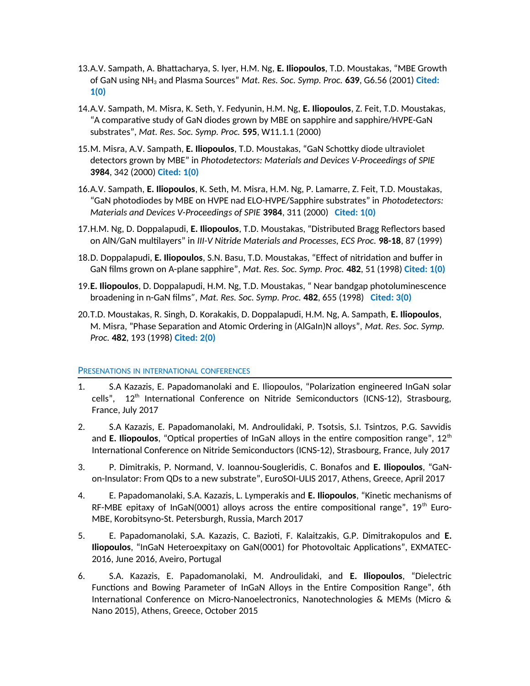- 13.Α.V. Sampath, A. Bhattacharya, S. Iyer, H.M. Ng, **E. Iliopoulos**, T.D. Moustakas, "MBE Growth of GaN using NH3 and Plasma Sources" *Mat. Res. Soc. Symp. Proc.* **639**, G6.56 (2001) **Cited: 1(0)**
- 14.A.V. Sampath, M. Misra, K. Seth, Y. Fedyunin, H.M. Ng, **E. Iliopoulos**, Z. Feit, T.D. Moustakas, "A comparative study of GaN diodes grown by MBE on sapphire and sapphire/HVPE-GaN substrates", *Mat. Res. Soc. Symp. Proc.* **595**, W11.1.1 (2000)
- 15.M. Misra, A.V. Sampath, **E. Iliopoulos**, T.D. Moustakas, "GaN Schottky diode ultraviolet detectors grown by MBE" in *Photodetectors: Materials and Devices V-Proceedings of SPIE* **3984**, 342 (2000) **Cited: 1(0)**
- 16.A.V. Sampath, **E. Iliopoulos**, K. Seth, M. Misra, H.M. Ng, P. Lamarre, Z. Feit, T.D. Moustakas, "GaN photodiodes by MBE on HVPE nad ELO-HVPE/Sapphire substrates" in *Photodetectors: Materials and Devices V-Proceedings of SPIE* **3984**, 311 (2000) **Cited: 1(0)**
- 17.H.M. Ng, D. Doppalapudi, **E. Iliopoulos**, T.D. Moustakas, "Distributed Bragg Reflectors based on AlN/GaN multilayers" in *III-V Nitride Materials and Processes, ECS Proc.* **98-18**, 87 (1999)
- 18.D. Doppalapudi, **E. Iliopoulos**, S.N. Basu, T.D. Moustakas, "Effect of nitridation and buffer in GaN films grown on A-plane sapphire", *Mat. Res. Soc. Symp. Proc.* **482**, 51 (1998) **Cited: 1(0)**
- 19.**E. Iliopoulos**, D. Doppalapudi, H.M. Ng, T.D. Moustakas, " Near bandgap photoluminescence broadening in n-GaN films*", Mat. Res. Soc. Symp. Proc.* **482**, 655 (1998) **Cited: 3(0)**
- 20.T.D. Moustakas, R. Singh, D. Korakakis, D. Doppalapudi, H.M. Ng, A. Sampath, **E. Iliopoulos**, M. Misra, "Phase Separation and Atomic Ordering in (AlGaIn)N alloys", *Mat. Res. Soc. Symp. Proc.* **482**, 193 (1998) **Cited: 2(0)**

# PRESENATIONS IN INTERNATIONAL CONFERENCES

- 1. S.A Kazazis, E. Papadomanolaki and E. Iliopoulos, "Polarization engineered InGaN solar cells", 12<sup>th</sup> International Conference on Nitride Semiconductors (ICNS-12), Strasbourg, France, July 2017
- 2. S.A Kazazis, E. Papadomanolaki, M. Androulidaki, P. Tsotsis, S.I. Tsintzos, P.G. Savvidis and **E. Iliopoulos**, "Optical properties of InGaN alloys in the entire composition range", 12<sup>th</sup> International Conference on Nitride Semiconductors (ICNS-12), Strasbourg, France, July 2017
- 3. P. Dimitrakis, P. Normand, V. Ioannou-Sougleridis, C. Bonafos and **E. Iliopoulos**, "GaNon-Insulator: From QDs to a new substrate", EuroSOI-ULIS 2017, Athens, Greece, April 2017
- 4. E. Papadomanolaki, S.A. Kazazis, L. Lymperakis and **E. Iliopoulos**, "Kinetic mechanisms of RF-MBE epitaxy of InGaN(0001) alloys across the entire compositional range",  $19<sup>th</sup>$  Euro-MBE, Korobitsyno-St. Petersburgh, Russia, March 2017
- 5. E. Papadomanolaki, S.A. Kazazis, C. Bazioti, F. Kalaitzakis, G.P. Dimitrakopulos and **E. Iliopoulos**, "InGaN Heteroexpitaxy on GaN(0001) for Photovoltaic Applications", EXMATEC-2016, June 2016, Aveiro, Portugal
- 6. S.A. Kazazis, E. Papadomanolaki, M. Androulidaki, and **E. Iliopoulos**, "Dielectric Functions and Bowing Parameter of InGaN Alloys in the Entire Composition Range", 6th International Conference on Micro-Nanoelectronics, Nanotechnologies & MEMs (Micro & Nano 2015), Athens, Greece, October 2015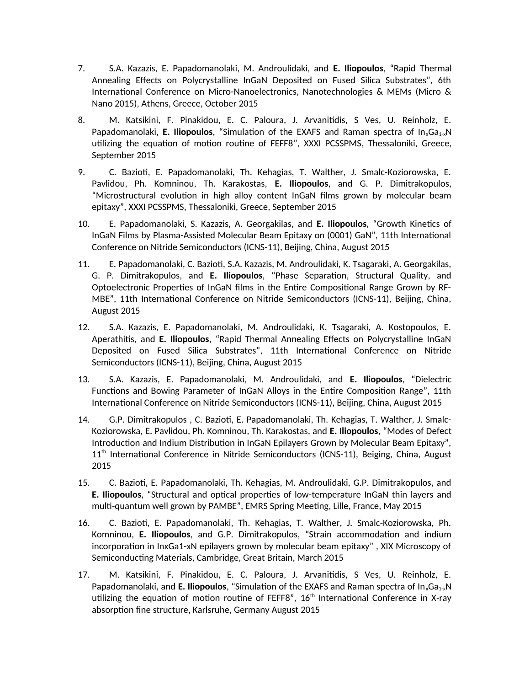- 7. S.A. Kazazis, E. Papadomanolaki, M. Androulidaki, and **E. Iliopoulos**, "Rapid Thermal Annealing Effects on Polycrystalline InGaN Deposited on Fused Silica Substrates", 6th International Conference on Micro-Nanoelectronics, Nanotechnologies & MEMs (Micro & Nano 2015), Athens, Greece, October 2015
- 8. M. Katsikini, F. Pinakidou, E. C. Paloura, J. Arvanitidis, S Ves, U. Reinholz, E. Papadomanolaki, **E. Iliopoulos**, "Simulation of the EXAFS and Raman spectra of In<sub>x</sub>Ga<sub>1-x</sub>N utilizing the equation of motion routine of FEFF8", XXXI PCSSPMS, Thessaloniki, Greece, September 2015
- 9. C. Bazioti, E. Papadomanolaki, Th. Kehagias, T. Walther, J. Smalc-Koziorowska, E. Pavlidou, Ph. Komninou, Th. Karakostas, **E. Iliopoulos**, and G. P. Dimitrakopulos, "Microstructural evolution in high alloy content InGaN films grown by molecular beam epitaxy", XXXI PCSSPMS, Thessaloniki, Greece, September 2015
- 10. E. Papadomanolaki, S. Kazazis, A. Georgakilas, and **E. Iliopoulos**, "Growth Kinetics of InGaN Films by Plasma-Assisted Molecular Beam Epitaxy on (0001) GaN", 11th International Conference on Nitride Semiconductors (ICNS-11), Beijing, China, August 2015
- 11. E. Papadomanolaki, C. Bazioti, S.A. Kazazis, M. Androulidaki, K. Tsagaraki, A. Georgakilas, G. P. Dimitrakopulos, and **E. Iliopoulos**, "Phase Separation, Structural Quality, and Optoelectronic Properties of InGaN films in the Entire Compositional Range Grown by RF-MBE", 11th International Conference on Nitride Semiconductors (ICNS-11), Beijing, China, August 2015
- 12. S.A. Kazazis, E. Papadomanolaki, M. Androulidaki, K. Tsagaraki, A. Kostopoulos, E. Aperathitis, and **E. Iliopoulos**, "Rapid Thermal Annealing Effects on Polycrystalline InGaN Deposited on Fused Silica Substrates", 11th International Conference on Nitride Semiconductors (ICNS-11), Beijing, China, August 2015
- 13. S.A. Kazazis, E. Papadomanolaki, M. Androulidaki, and **E. Iliopoulos**, "Dielectric Functions and Bowing Parameter of InGaN Alloys in the Entire Composition Range", 11th International Conference on Nitride Semiconductors (ICNS-11), Beijing, China, August 2015
- 14. G.P. Dimitrakopulos , C. Bazioti, E. Papadomanolaki, Th. Kehagias, T. Walther, J. Smalc-Koziorowska, E. Pavlidou, Ph. Komninou, Th. Karakostas, and **E. Iliopoulos**, "Modes of Defect Introduction and Indium Distribution in InGaN Epilayers Grown by Molecular Beam Epitaxy", 11<sup>th</sup> International Conference in Nitride Semiconductors (ICNS-11), Beiging, China, August 2015
- 15. C. Bazioti, E. Papadomanolaki, Th. Kehagias, M. Androulidaki, G.P. Dimitrakopulos, and **E. Iliopoulos**, "Structural and optical properties of low-temperature InGaN thin layers and multi-quantum well grown by PAMBE", EMRS Spring Meeting, Lille, France, May 2015
- 16. C. Bazioti, E. Papadomanolaki, Th. Kehagias, T. Walther, J. Smalc-Koziorowska, Ph. Komninou, **E. Iliopoulos**, and G.P. Dimitrakopulos, "Strain accommodation and indium incorporation in InxGa1-xN epilayers grown by molecular beam epitaxy" , XIX Microscopy of Semiconducting Materials, Cambridge, Great Britain, March 2015
- 17. M. Katsikini, F. Pinakidou, E. C. Paloura, J. Arvanitidis, S Ves, U. Reinholz, E. Papadomanolaki, and **E. Iliopoulos**, "Simulation of the EXAFS and Raman spectra of In<sub>x</sub>Ga<sub>1-x</sub>N utilizing the equation of motion routine of FEFF8",  $16<sup>th</sup>$  International Conference in X-ray absorption fine structure, Karlsruhe, Germany August 2015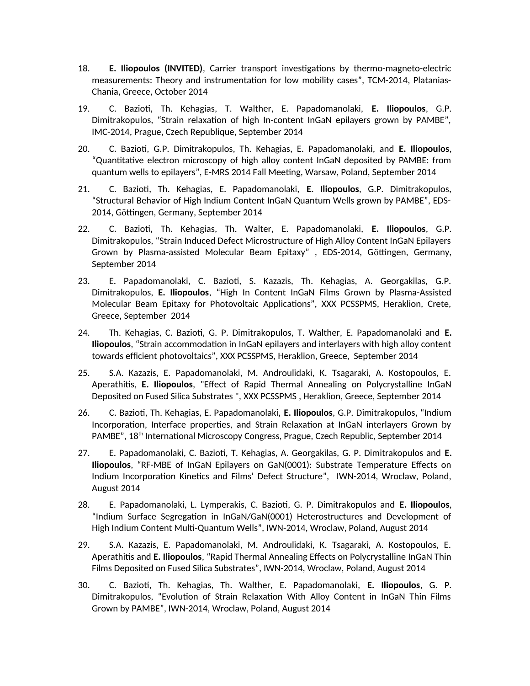- 18. **E. Iliopoulos (INVITED)**, Carrier transport investigations by thermo-magneto-electric measurements: Theory and instrumentation for low mobility cases", TCM-2014, Platanias-Chania, Greece, October 2014
- 19. C. Bazioti, Th. Kehagias, T. Walther, E. Papadomanolaki, **E. Iliopoulos**, G.P. Dimitrakopulos, "Strain relaxation of high In-content InGaN epilayers grown by PAMBE", IMC-2014, Prague, Czech Republique, September 2014
- 20. C. Bazioti, G.P. Dimitrakopulos, Th. Kehagias, E. Papadomanolaki, and **E. Iliopoulos**, "Quantitative electron microscopy of high alloy content InGaN deposited by PAMBE: from quantum wells to epilayers", E-MRS 2014 Fall Meeting, Warsaw, Poland, September 2014
- 21. C. Bazioti, Th. Kehagias, E. Papadomanolaki, **E. Iliopoulos**, G.P. Dimitrakopulos, "Structural Behavior of High Indium Content InGaN Quantum Wells grown by PAMBE", EDS-2014, Göttingen, Germany, September 2014
- 22. C. Bazioti, Th. Kehagias, Th. Walter, E. Papadomanolaki, **E. Iliopoulos**, G.P. Dimitrakopulos, "Strain Induced Defect Microstructure of High Alloy Content InGaN Epilayers Grown by Plasma-assisted Molecular Beam Epitaxy" , EDS-2014, Göttingen, Germany, September 2014
- 23. E. Papadomanolaki, C. Bazioti, S. Kazazis, Th. Kehagias, A. Georgakilas, G.P. Dimitrakopulos, **E. Iliopoulos**, "High In Content InGaN Films Grown by Plasma-Assisted Molecular Beam Epitaxy for Photovoltaic Applications", XXX PCSSPMS, Heraklion, Crete, Greece, September 2014
- 24. Th. Kehagias, C. Bazioti, G. P. Dimitrakopulos, T. Walther, E. Papadomanolaki and **E. Iliopoulos**, "Strain accommodation in InGaN epilayers and interlayers with high alloy content towards efficient photovoltaics", XXX PCSSPMS, Heraklion, Greece, September 2014
- 25. S.A. Kazazis, E. Papadomanolaki, M. Androulidaki, K. Tsagaraki, A. Kostopoulos, E. Aperathitis, **E. Iliopoulos**, "Effect of Rapid Thermal Annealing on Polycrystalline InGaN Deposited on Fused Silica Substrates ", XXX PCSSPMS , Heraklion, Greece, September 2014
- 26. C. Bazioti, Th. Kehagias, E. Papadomanolaki, **E. Iliopoulos**, G.P. Dimitrakopulos, "Indium Incorporation, Interface properties, and Strain Relaxation at InGaN interlayers Grown by PAMBE", 18<sup>th</sup> International Microscopy Congress, Prague, Czech Republic, September 2014
- 27. E. Papadomanolaki, C. Bazioti, T. Kehagias, A. Georgakilas, G. P. Dimitrakopulos and **E. Iliopoulos**, "RF-MBE of InGaN Epilayers on GaN(0001): Substrate Temperature Effects on Indium Incorporation Kinetics and Films' Defect Structure", IWN-2014, Wroclaw, Poland, August 2014
- 28. E. Papadomanolaki, L. Lymperakis, C. Bazioti, G. P. Dimitrakopulos and **E. Iliopoulos**, "Indium Surface Segregation in InGaN/GaN(0001) Heterostructures and Development of High Indium Content Multi-Quantum Wells", IWN-2014, Wroclaw, Poland, August 2014
- 29. S.A. Kazazis, E. Papadomanolaki, M. Androulidaki, K. Tsagaraki, A. Kostopoulos, E. Aperathitis and **E. Iliopoulos**, "Rapid Thermal Annealing Effects on Polycrystalline InGaN Thin Films Deposited on Fused Silica Substrates", IWN-2014, Wroclaw, Poland, August 2014
- 30. C. Bazioti, Th. Kehagias, Th. Walther, E. Papadomanolaki, **E. Iliopoulos**, G. P. Dimitrakopulos, "Evolution of Strain Relaxation With Alloy Content in InGaN Thin Films Grown by PAMBE", IWN-2014, Wroclaw, Poland, August 2014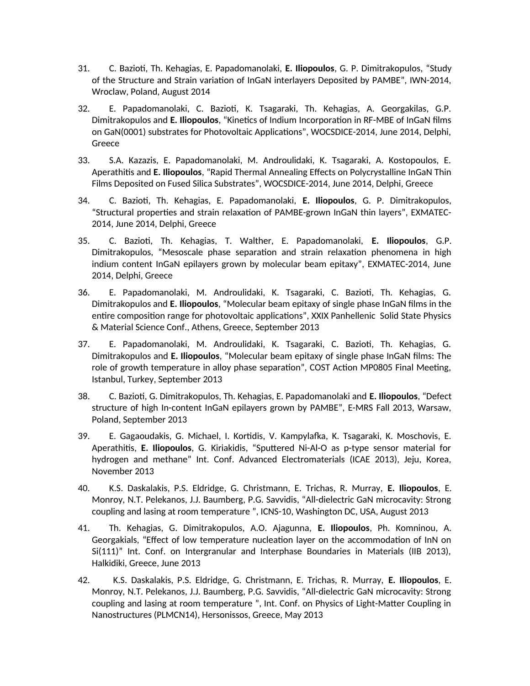- 31. C. Bazioti, Th. Kehagias, E. Papadomanolaki, **E. Iliopoulos**, G. P. Dimitrakopulos, "Study of the Structure and Strain variation of InGaN interlayers Deposited by PAMBE", IWN-2014, Wroclaw, Poland, August 2014
- 32. E. Papadomanolaki, C. Bazioti, K. Tsagaraki, Th. Kehagias, A. Georgakilas, G.P. Dimitrakopulos and **E. Iliopoulos**, "Kinetics of Indium Incorporation in RF-MBE of InGaN films on GaN(0001) substrates for Photovoltaic Applications", WOCSDICE-2014, June 2014, Delphi, Greece
- 33. S.A. Kazazis, E. Papadomanolaki, M. Androulidaki, K. Tsagaraki, A. Kostopoulos, E. Aperathitis and **E. Iliopoulos**, "Rapid Thermal Annealing Effects on Polycrystalline InGaN Thin Films Deposited on Fused Silica Substrates", WOCSDICE-2014, June 2014, Delphi, Greece
- 34. C. Bazioti, Th. Kehagias, E. Papadomanolaki, **E. Iliopoulos**, G. P. Dimitrakopulos, "Structural properties and strain relaxation of PAMBE-grown InGaN thin layers", EXMATEC-2014, June 2014, Delphi, Greece
- 35. C. Bazioti, Th. Kehagias, T. Walther, E. Papadomanolaki, **E. Iliopoulos**, G.P. Dimitrakopulos, "Mesoscale phase separation and strain relaxation phenomena in high indium content InGaN epilayers grown by molecular beam epitaxy", EXMATEC-2014, June 2014, Delphi, Greece
- 36. E. Papadomanolaki, M. Androulidaki, K. Tsagaraki, C. Bazioti, Th. Kehagias, G. Dimitrakopulos and **E. Iliopoulos**, "Molecular beam epitaxy of single phase InGaN films in the entire composition range for photovoltaic applications", XXIX Panhellenic Solid State Physics & Material Science Conf., Athens, Greece, September 2013
- 37. E. Papadomanolaki, M. Androulidaki, K. Tsagaraki, C. Bazioti, Th. Kehagias, G. Dimitrakopulos and **E. Iliopoulos**, "Molecular beam epitaxy of single phase InGaN films: The role of growth temperature in alloy phase separation", COST Action MP0805 Final Meeting, Istanbul, Turkey, September 2013
- 38. C. Bazioti, G. Dimitrakopulos, Th. Kehagias, E. Papadomanolaki and **E. Iliopoulos**, "Defect structure of high In-content InGaN epilayers grown by PAMBE", E-MRS Fall 2013, Warsaw, Poland, September 2013
- 39. E. Gagaoudakis, G. Michael, I. Kortidis, V. Kampylafka, K. Tsagaraki, K. Moschovis, E. Aperathitis, **E. Iliopoulos**, G. Kiriakidis, "Sputtered Ni-Al-O as p-type sensor material for hydrogen and methane" Int. Conf. Advanced Electromaterials (ICAE 2013), Jeju, Korea, November 2013
- 40. K.S. Daskalakis, P.S. Eldridge, G. Christmann, E. Trichas, R. Murray, **E. Iliopoulos**, E. Monroy, N.T. Pelekanos, J.J. Baumberg, P.G. Savvidis, "All-dielectric GaN microcavity: Strong coupling and lasing at room temperature ", ICNS-10, Washington DC, USA, August 2013
- 41. Th. Kehagias, G. Dimitrakopulos, A.O. Ajagunna, **E. Iliopoulos**, Ph. Komninou, A. Georgakials, "Effect of low temperature nucleation layer on the accommodation of InN on Si(111)" Int. Conf. on Intergranular and Interphase Boundaries in Materials (IIB 2013), Halkidiki, Greece, June 2013
- 42. K.S. Daskalakis, P.S. Eldridge, G. Christmann, E. Trichas, R. Murray, **E. Iliopoulos**, E. Monroy, N.T. Pelekanos, J.J. Baumberg, P.G. Savvidis, "All-dielectric GaN microcavity: Strong coupling and lasing at room temperature ", Int. Conf. on Physics of Light-Matter Coupling in Nanostructures (PLMCN14), Hersonissos, Greece, May 2013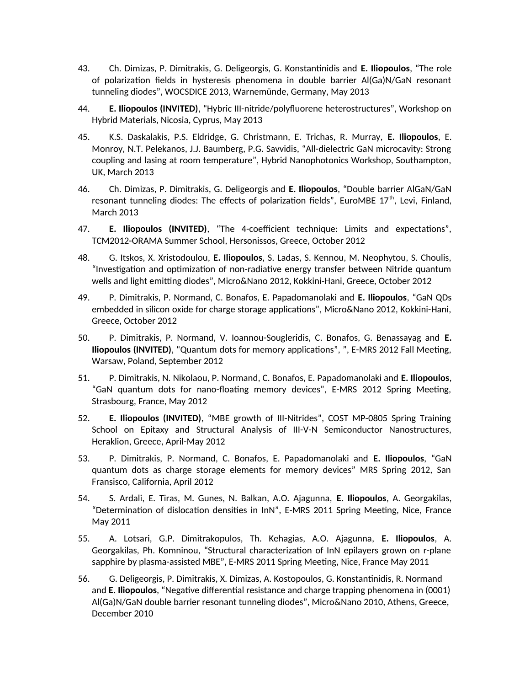- 43. Ch. Dimizas, P. Dimitrakis, G. Deligeorgis, G. Konstantinidis and **E. Iliopoulos**, "The role of polarization fields in hysteresis phenomena in double barrier Al(Ga)N/GaN resonant tunneling diodes", WOCSDICE 2013, Warnemünde, Germany, May 2013
- 44. **E. Iliopoulos (INVITED)**, "Hybric III-nitride/polyfluorene heterostructures", Workshop on Hybrid Materials, Nicosia, Cyprus, May 2013
- 45. K.S. Daskalakis, P.S. Eldridge, G. Christmann, E. Trichas, R. Murray, **E. Iliopoulos**, E. Monroy, N.T. Pelekanos, J.J. Baumberg, P.G. Savvidis, "All-dielectric GaN microcavity: Strong coupling and lasing at room temperature", Hybrid Nanophotonics Workshop, Southampton, UK, March 2013
- 46. Ch. Dimizas, P. Dimitrakis, G. Deligeorgis and **E. Iliopoulos**, "Double barrier AlGaN/GaN resonant tunneling diodes: The effects of polarization fields", EuroMBE  $17<sup>th</sup>$ , Levi, Finland, March 2013
- 47. **E. Iliopoulos (INVITED)**, "The 4-coefficient technique: Limits and expectations", TCM2012-ORAMA Summer School, Hersonissos, Greece, October 2012
- 48. G. Itskos, X. Xristodoulou, **E. Iliopoulos**, S. Ladas, S. Kennou, M. Neophytou, S. Choulis, "Investigation and optimization of non-radiative energy transfer between Nitride quantum wells and light emitting diodes", Micro&Nano 2012, Kokkini-Hani, Greece, October 2012
- 49. P. Dimitrakis, P. Normand, C. Bonafos, E. Papadomanolaki and **E. Iliopoulos**, "GaN QDs embedded in silicon oxide for charge storage applications", Micro&Nano 2012, Kokkini-Hani, Greece, October 2012
- 50. P. Dimitrakis, P. Normand, V. Ioannou-Sougleridis, C. Bonafos, G. Benassayag and **E. Iliopoulos (INVITED)**, "Quantum dots for memory applications", ", E-MRS 2012 Fall Meeting, Warsaw, Poland, September 2012
- 51. P. Dimitrakis, N. Nikolaou, P. Normand, C. Bonafos, E. Papadomanolaki and **E. Iliopoulos**, "GaN quantum dots for nano-floating memory devices", E-MRS 2012 Spring Meeting, Strasbourg, France, May 2012
- 52. **E. Iliopoulos (INVITED)**, "MBE growth of III-Nitrides", COST MP-0805 Spring Training School on Epitaxy and Structural Analysis of III-V-N Semiconductor Nanostructures, Heraklion, Greece, April-May 2012
- 53. P. Dimitrakis, P. Normand, C. Bonafos, E. Papadomanolaki and **E. Iliopoulos**, "GaN quantum dots as charge storage elements for memory devices" MRS Spring 2012, San Fransisco, California, April 2012
- 54. S. Ardali, E. Tiras, M. Gunes, N. Balkan, A.O. Ajagunna, **E. Iliopoulos**, A. Georgakilas, "Determination of dislocation densities in InN", E-MRS 2011 Spring Meeting, Nice, France May 2011
- 55. A. Lotsari, G.P. Dimitrakopulos, Th. Kehagias, A.O. Ajagunna, **E. Iliopoulos**, A. Georgakilas, Ph. Komninou, "Structural characterization of InN epilayers grown on r-plane sapphire by plasma-assisted MBE", E-MRS 2011 Spring Meeting, Nice, France May 2011
- 56. G. Deligeorgis, P. Dimitrakis, X. Dimizas, A. Kostopoulos, G. Konstantinidis, R. Normand and **E. Iliopoulos**, "Negative differential resistance and charge trapping phenomena in (0001) Al(Ga)N/GaN double barrier resonant tunneling diodes", Micro&Nano 2010, Athens, Greece, December 2010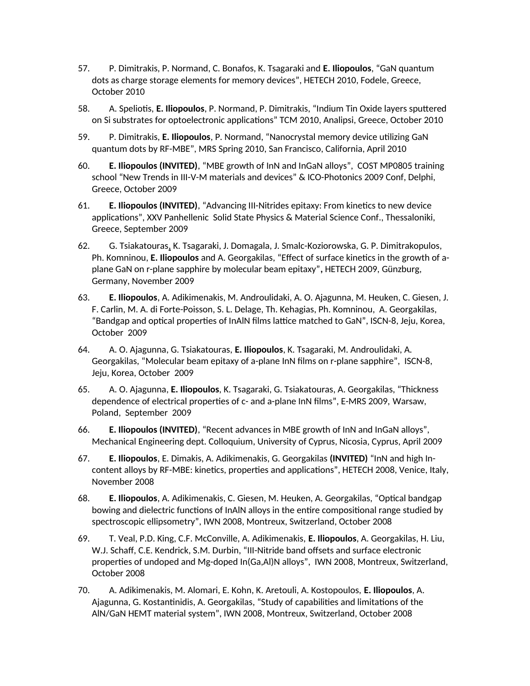- 57. P. Dimitrakis, P. Normand, C. Bonafos, K. Tsagaraki and **E. Iliopoulos**, "GaN quantum dots as charge storage elements for memory devices", HETECH 2010, Fodele, Greece, October 2010
- 58. A. Speliotis, **E. Iliopoulos**, P. Normand, P. Dimitrakis, "Indium Tin Oxide layers sputtered on Si substrates for optoelectronic applications" TCM 2010, Analipsi, Greece, October 2010
- 59. P. Dimitrakis, **E. Iliopoulos**, P. Normand, "Nanocrystal memory device utilizing GaN quantum dots by RF-MBE", MRS Spring 2010, San Francisco, California, April 2010
- 60. **E. Iliopoulos (INVITED)**, "MBE growth of InN and InGaN alloys", COST MP0805 training school "New Trends in III-V-M materials and devices" & ICO-Photonics 2009 Conf, Delphi, Greece, October 2009
- 61. **E. Iliopoulos (INVITED)**, "Advancing III-Nitrides epitaxy: From kinetics to new device applications", XXV Panhellenic Solid State Physics & Material Science Conf., Thessaloniki, Greece, September 2009
- 62. G. Tsiakatouras, K. Tsagaraki, J. Domagala, J. Smalc-Koziorowska, G. P. Dimitrakopulos, Ph. Komninou, **E. Iliopoulos** and A. Georgakilas, "Effect of surface kinetics in the growth of aplane GaN on r-plane sapphire by molecular beam epitaxy"**,** HETECH 2009, Günzburg, Germany, November 2009
- 63. **E. Iliopoulos**, A. Adikimenakis, M. Androulidaki, A. O. Ajagunna, M. Heuken, C. Giesen, J. F. Carlin, M. A. di Forte-Poisson, S. L. Delage, Th. Kehagias, Ph. Komninou, A. Georgakilas, "Bandgap and optical properties of InAlN films lattice matched to GaN", ISCN-8, Jeju, Korea, October 2009
- 64. A. O. Ajagunna, G. Tsiakatouras, **E. Iliopoulos**, K. Tsagaraki, M. Androulidaki, A. Georgakilas, "Molecular beam epitaxy of a-plane InN films on r-plane sapphire", ISCN-8, Jeju, Korea, October 2009
- 65. A. O. Ajagunna, **E. Iliopoulos**, K. Tsagaraki, G. Tsiakatouras, A. Georgakilas, "Thickness dependence of electrical properties of c- and a-plane InN films", E-MRS 2009, Warsaw, Poland, September 2009
- 66. **E. Iliopoulos (INVITED)**, "Recent advances in MBE growth of InN and InGaN alloys", Mechanical Engineering dept. Colloquium, University of Cyprus, Nicosia, Cyprus, April 2009
- 67. **E. Iliopoulos**, E. Dimakis, A. Adikimenakis, G. Georgakilas **(INVITED)** "InN and high Incontent alloys by RF-MBE: kinetics, properties and applications", HETECH 2008, Venice, Italy, November 2008
- 68. **E. Iliopoulos**, A. Adikimenakis, C. Giesen, M. Heuken, A. Georgakilas, "Optical bandgap bowing and dielectric functions of InAlN alloys in the entire compositional range studied by spectroscopic ellipsometry", IWN 2008, Montreux, Switzerland, October 2008
- 69. T. Veal, P.D. King, C.F. McConville, A. Adikimenakis, **E. Iliopoulos**, A. Georgakilas, H. Liu, W.J. Schaff, C.E. Kendrick, S.M. Durbin, "III-Nitride band offsets and surface electronic properties of undoped and Mg-doped In(Ga,Al)N alloys", IWN 2008, Montreux, Switzerland, October 2008
- 70. A. Adikimenakis, M. Alomari, E. Kohn, K. Aretouli, A. Kostopoulos, **E. Iliopoulos**, A. Ajagunna, G. Kostantinidis, A. Georgakilas, "Study of capabilities and limitations of the AlN/GaN HEMT material system", IWN 2008, Montreux, Switzerland, October 2008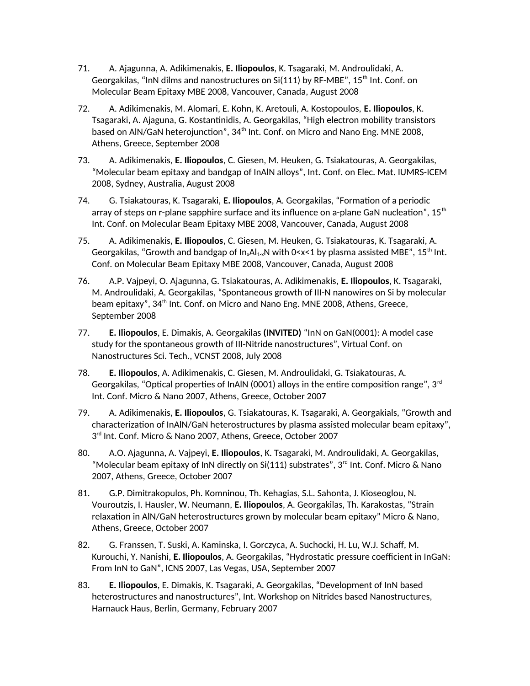- 71. A. Ajagunna, A. Adikimenakis, **E. Iliopoulos**, K. Tsagaraki, M. Androulidaki, A. Georgakilas, "InN dilms and nanostructures on Si(111) by RF-MBE", 15<sup>th</sup> Int. Conf. on Molecular Beam Epitaxy MBE 2008, Vancouver, Canada, August 2008
- 72. A. Adikimenakis, M. Alomari, E. Kohn, K. Aretouli, A. Kostopoulos, **E. Iliopoulos**, K. Tsagaraki, A. Ajaguna, G. Kostantinidis, A. Georgakilas, "High electron mobility transistors based on AIN/GaN heterojunction", 34<sup>th</sup> Int. Conf. on Micro and Nano Eng. MNE 2008, Athens, Greece, September 2008
- 73. A. Adikimenakis, **E. Iliopoulos**, C. Giesen, M. Heuken, G. Tsiakatouras, A. Georgakilas, "Molecular beam epitaxy and bandgap of InAlN alloys", Int. Conf. on Elec. Mat. IUMRS-ICEM 2008, Sydney, Australia, August 2008
- 74. G. Tsiakatouras, K. Tsagaraki, **E. Iliopoulos**, A. Georgakilas, "Formation of a periodic array of steps on r-plane sapphire surface and its influence on a-plane GaN nucleation",  $15<sup>th</sup>$ Int. Conf. on Molecular Beam Epitaxy MBE 2008, Vancouver, Canada, August 2008
- 75. A. Adikimenakis, **E. Iliopoulos**, C. Giesen, M. Heuken, G. Tsiakatouras, K. Tsagaraki, A. Georgakilas, "Growth and bandgap of  $In_xAl_{1x}N$  with 0<x<1 by plasma assisted MBE", 15<sup>th</sup> Int. Conf. on Molecular Beam Epitaxy MBE 2008, Vancouver, Canada, August 2008
- 76. A.P. Vajpeyi, O. Ajagunna, G. Tsiakatouras, A. Adikimenakis, **E. Iliopoulos**, K. Tsagaraki, M. Androulidaki, A. Georgakilas, "Spontaneous growth of III-N nanowires on Si by molecular beam epitaxy", 34<sup>th</sup> Int. Conf. on Micro and Nano Eng. MNE 2008, Athens, Greece, September 2008
- 77. **E. Iliopoulos**, E. Dimakis, A. Georgakilas **(INVITED)** "InN on GaN(0001): A model case study for the spontaneous growth of III-Nitride nanostructures", Virtual Conf. on Nanostructures Sci. Tech., VCNST 2008, July 2008
- 78. **E. Iliopoulos**, A. Adikimenakis, C. Giesen, M. Androulidaki, G. Tsiakatouras, A. Georgakilas, "Optical properties of InAIN (0001) alloys in the entire composition range",  $3<sup>rd</sup>$ Int. Conf. Micro & Nano 2007, Athens, Greece, October 2007
- 79. A. Adikimenakis, **E. Iliopoulos**, G. Tsiakatouras, K. Tsagaraki, A. Georgakials, "Growth and characterization of InAlN/GaN heterostructures by plasma assisted molecular beam epitaxy", 3 rd Int. Conf. Micro & Nano 2007, Athens, Greece, October 2007
- 80. A.O. Ajagunna, A. Vajpeyi, **E. Iliopoulos**, K. Tsagaraki, M. Androulidaki, A. Georgakilas, "Molecular beam epitaxy of InN directly on Si(111) substrates", 3<sup>rd</sup> Int. Conf. Micro & Nano 2007, Athens, Greece, October 2007
- 81. G.P. Dimitrakopulos, Ph. Komninou, Th. Kehagias, S.L. Sahonta, J. Kioseoglou, N. Vouroutzis, I. Hausler, W. Neumann, **E. Iliopoulos**, A. Georgakilas, Th. Karakostas, "Strain relaxation in AlN/GaN heterostructures grown by molecular beam epitaxy" Micro & Nano, Athens, Greece, October 2007
- 82. G. Franssen, T. Suski, A. Kaminska, I. Gorczyca, A. Suchocki, H. Lu, W.J. Schaff, M. Kurouchi, Y. Nanishi, **E. Iliopoulos**, A. Georgakilas, "Hydrostatic pressure coefficient in InGaN: From InN to GaN", ICNS 2007, Las Vegas, USA, September 2007
- 83. **E. Iliopoulos**, E. Dimakis, K. Tsagaraki, A. Georgakilas, "Development of InN based heterostructures and nanostructures", Int. Workshop on Nitrides based Nanostructures, Harnauck Haus, Berlin, Germany, February 2007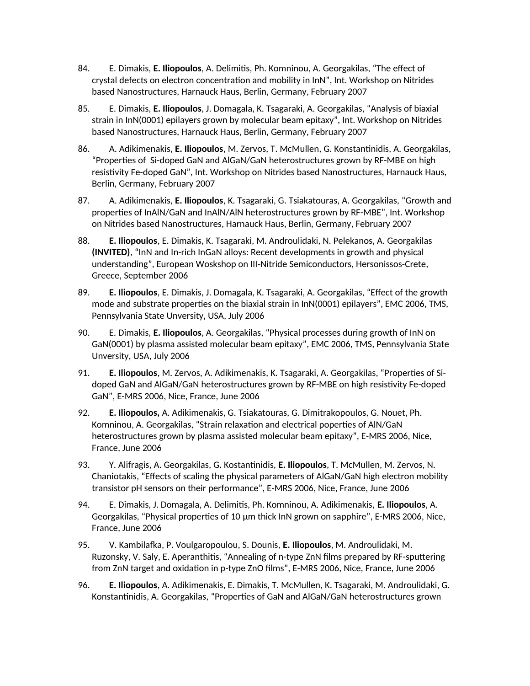- 84. E. Dimakis, **E. Iliopoulos**, A. Delimitis, Ph. Komninou, A. Georgakilas, "The effect of crystal defects on electron concentration and mobility in InN", Int. Workshop on Nitrides based Nanostructures, Harnauck Haus, Berlin, Germany, February 2007
- 85. E. Dimakis, **E. Iliopoulos**, J. Domagala, K. Tsagaraki, A. Georgakilas, "Analysis of biaxial strain in InN(0001) epilayers grown by molecular beam epitaxy", Int. Workshop on Nitrides based Nanostructures, Harnauck Haus, Berlin, Germany, February 2007
- 86. A. Adikimenakis, **E. Iliopoulos**, M. Zervos, T. McMullen, G. Konstantinidis, A. Georgakilas, "Properties of Si-doped GaN and AlGaN/GaN heterostructures grown by RF-MBE on high resistivity Fe-doped GaN", Int. Workshop on Nitrides based Nanostructures, Harnauck Haus, Berlin, Germany, February 2007
- 87. A. Adikimenakis, **E. Iliopoulos**, K. Tsagaraki, G. Tsiakatouras, A. Georgakilas, "Growth and properties of InAlN/GaN and InAlN/AlN heterostructures grown by RF-MBE", Int. Workshop on Nitrides based Nanostructures, Harnauck Haus, Berlin, Germany, February 2007
- 88. **E. Iliopoulos**, E. Dimakis, K. Tsagaraki, M. Androulidaki, N. Pelekanos, A. Georgakilas **(INVITED)**, "InN and In-rich InGaN alloys: Recent developments in growth and physical understanding", European Woskshop on III-Nitride Semiconductors, Hersonissos-Crete, Greece, September 2006
- 89. **E. Iliopoulos**, E. Dimakis, J. Domagala, K. Tsagaraki, A. Georgakilas, "Effect of the growth mode and substrate properties on the biaxial strain in InN(0001) epilayers", EMC 2006, TMS, Pennsylvania State Unversity, USA, July 2006
- 90. E. Dimakis, **E. Iliopoulos**, A. Georgakilas, "Physical processes during growth of InN on GaN(0001) by plasma assisted molecular beam epitaxy", EMC 2006, TMS, Pennsylvania State Unversity, USA, July 2006
- 91. **E. Iliopoulos**, M. Zervos, A. Adikimenakis, K. Tsagaraki, A. Georgakilas, "Properties of Sidoped GaN and AlGaN/GaN heterostructures grown by RF-MBE on high resistivity Fe-doped GaN", E-MRS 2006, Nice, France, June 2006
- 92. **E. Iliopoulos,** A. Adikimenakis, G. Tsiakatouras, G. Dimitrakopoulos, G. Nouet, Ph. Komninou, A. Georgakilas, "Strain relaxation and electrical poperties of AlN/GaN heterostructures grown by plasma assisted molecular beam epitaxy", E-MRS 2006, Nice, France, June 2006
- 93. Y. Alifragis, A. Georgakilas, G. Kostantinidis, **E. Iliopoulos**, T. McMullen, M. Zervos, N. Chaniotakis, "Effects of scaling the physical parameters of AlGaN/GaN high electron mobility transistor pH sensors on their performance", E-MRS 2006, Nice, France, June 2006
- 94. E. Dimakis, J. Domagala, A. Delimitis, Ph. Komninou, A. Adikimenakis, **E. Iliopoulos**, A. Georgakilas, "Physical properties of 10 μm thick InN grown on sapphire", E-MRS 2006, Nice, France, June 2006
- 95. V. Kambilafka, P. Voulgaropoulou, S. Dounis, **E. Iliopoulos**, M. Androulidaki, M. Ruzonsky, V. Saly, E. Aperanthitis, "Annealing of n-type ZnN films prepared by RF-sputtering from ZnN target and oxidation in p-type ZnO films", E-MRS 2006, Nice, France, June 2006
- 96. **E. Iliopoulos**, A. Adikimenakis, E. Dimakis, T. McMullen, K. Tsagaraki, M. Androulidaki, G. Konstantinidis, A. Georgakilas, "Properties of GaN and AlGaN/GaN heterostructures grown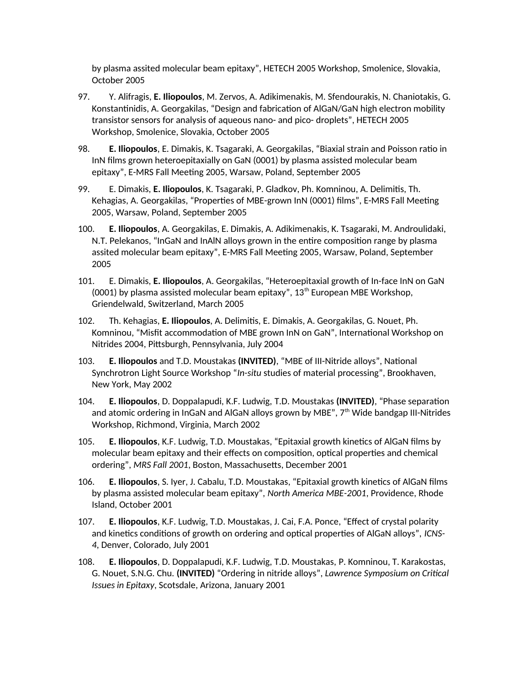by plasma assited molecular beam epitaxy", HETECH 2005 Workshop, Smolenice, Slovakia, October 2005

- 97. Y. Alifragis, **E. Iliopoulos**, M. Zervos, A. Adikimenakis, M. Sfendourakis, N. Chaniotakis, G. Konstantinidis, A. Georgakilas, "Design and fabrication of AlGaN/GaN high electron mobility transistor sensors for analysis of aqueous nano- and pico- droplets", HETECH 2005 Workshop, Smolenice, Slovakia, October 2005
- 98. **E. Iliopoulos**, E. Dimakis, K. Tsagaraki, A. Georgakilas, "Biaxial strain and Poisson ratio in InN films grown heteroepitaxially on GaN (0001) by plasma assisted molecular beam epitaxy", E-MRS Fall Meeting 2005, Warsaw, Poland, September 2005
- 99. E. Dimakis, **E. Iliopoulos**, K. Tsagaraki, P. Gladkov, Ph. Komninou, A. Delimitis, Th. Kehagias, A. Georgakilas, "Properties of MBE-grown InN (0001) films", E-MRS Fall Meeting 2005, Warsaw, Poland, September 2005
- 100. **E. Iliopoulos**, A. Georgakilas, E. Dimakis, A. Adikimenakis, K. Tsagaraki, M. Androulidaki, N.T. Pelekanos, "InGaN and InAlN alloys grown in the entire composition range by plasma assited molecular beam epitaxy", E-MRS Fall Meeting 2005, Warsaw, Poland, September 2005
- 101. E. Dimakis, **E. Iliopoulos**, A. Georgakilas, "Heteroepitaxial growth of In-face InN on GaN (0001) by plasma assisted molecular beam epitaxy",  $13<sup>th</sup>$  European MBE Workshop, Griendelwald, Switzerland, March 2005
- 102. Th. Kehagias, **E. Iliopoulos**, A. Delimitis, E. Dimakis, A. Georgakilas, G. Nouet, Ph. Komninou, "Misfit accommodation of MBE grown InN on GaN", International Workshop on Nitrides 2004, Pittsburgh, Pennsylvania, July 2004
- 103. **E. Iliopoulos** and T.D. Moustakas **(INVITED)**, "MBE of III-Nitride alloys", National Synchrotron Light Source Workshop "*In-situ* studies of material processing", Brookhaven, New York, May 2002
- 104. **E. Iliopoulos**, D. Doppalapudi, K.F. Ludwig, T.D. Moustakas **(INVITED)**, "Phase separation and atomic ordering in InGaN and AlGaN alloys grown by MBE", 7<sup>th</sup> Wide bandgap III-Nitrides Workshop, Richmond, Virginia, March 2002
- 105. **E. Iliopoulos**, K.F. Ludwig, T.D. Moustakas, "Epitaxial growth kinetics of AlGaN films by molecular beam epitaxy and their effects on composition, optical properties and chemical ordering", *MRS Fall 2001*, Boston, Massachusetts, December 2001
- 106. **E. Iliopoulos**, S. Iyer, J. Cabalu, T.D. Moustakas, "Epitaxial growth kinetics of AlGaN films by plasma assisted molecular beam epitaxy", *North America MBE-2001*, Providence, Rhode Island, October 2001
- 107. **E. Iliopoulos**, K.F. Ludwig, T.D. Moustakas, J. Cai, F.A. Ponce, "Effect of crystal polarity and kinetics conditions of growth on ordering and optical properties of AlGaN alloys", *ICNS-4*, Denver, Colorado, July 2001
- 108. **E. Iliopoulos**, D. Doppalapudi, K.F. Ludwig, T.D. Moustakas, P. Komninou, T. Karakostas, G. Nouet, S.N.G. Chu. **(INVITED)** "Ordering in nitride alloys", *Lawrence Symposium on Critical Issues in Epitaxy*, Scotsdale, Arizona, January 2001